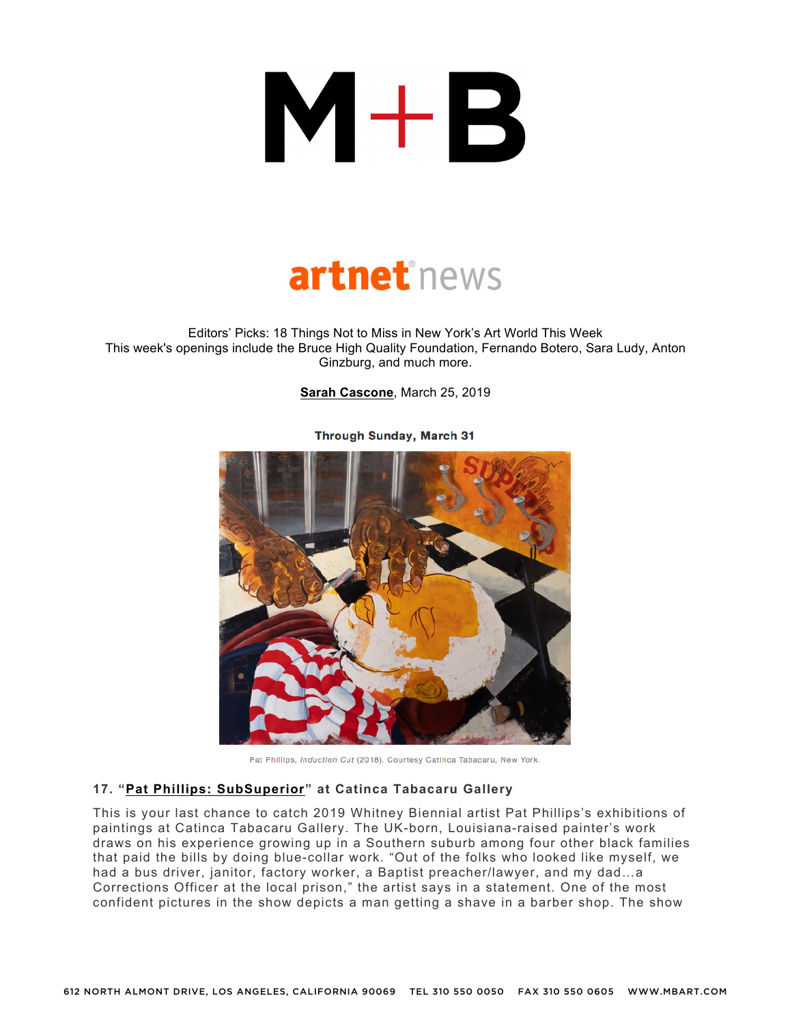## $M+B$



Editors' Picks: 18 Things Not to Miss in New York's Art World This Week This week's openings include the Bruce High Quality Foundation, Fernando Botero, Sara Ludy, Anton Ginzburg, and much more.

**Sarah Cascone**, March 25, 2019



**Through Sunday, March 31** 

Pat Phillips, Induction Cut (2018). Courtesy Catinca Tabacaru, New York.

## **17. "Pat Phillips: SubSuperior" at Catinca Tabacaru Gallery**

This is your last chance to catch 2019 Whitney Biennial artist Pat Phillips's exhibitions of paintings at Catinca Tabacaru Gallery. The UK-born, Louisiana-raised painter's work draws on his experience growing up in a Southern suburb among four other black families that paid the bills by doing blue-collar work. "Out of the folks who looked like myself, we had a bus driver, janitor, factory worker, a Baptist preacher/lawyer, and my dad…a Corrections Officer at the local prison," the artist says in a statement. One of the most confident pictures in the show depicts a man getting a shave in a barber shop. The show